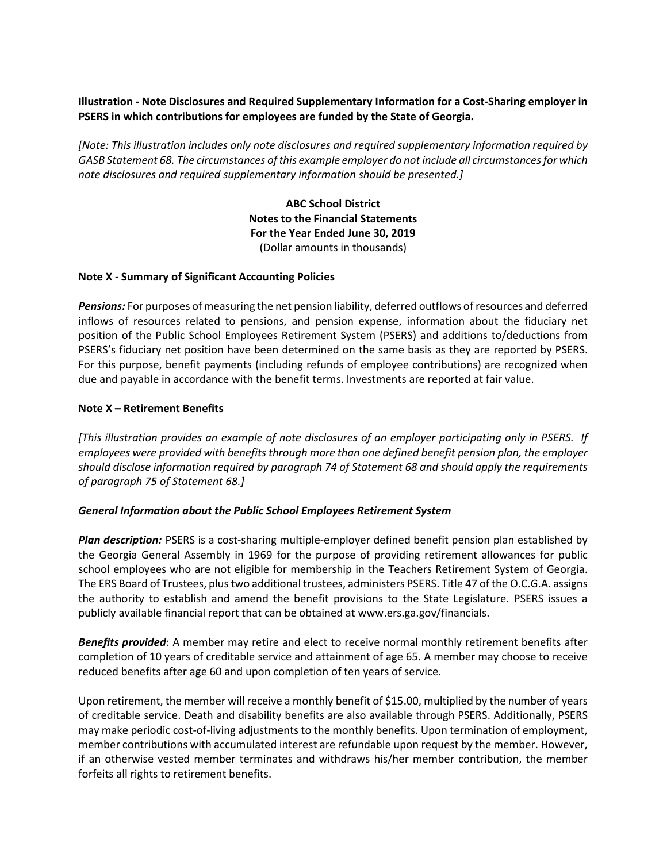# Illustration - Note Disclosures and Required Supplementary Information for a Cost-Sharing employer in PSERS in which contributions for employees are funded by the State of Georgia.

[Note: This illustration includes only note disclosures and required supplementary information required by GASB Statement 68. The circumstances of this example employer do not include all circumstances for which note disclosures and required supplementary information should be presented.]

> ABC School District Notes to the Financial Statements For the Year Ended June 30, 2019 (Dollar amounts in thousands)

### Note X - Summary of Significant Accounting Policies

**Pensions:** For purposes of measuring the net pension liability, deferred outflows of resources and deferred inflows of resources related to pensions, and pension expense, information about the fiduciary net position of the Public School Employees Retirement System (PSERS) and additions to/deductions from PSERS's fiduciary net position have been determined on the same basis as they are reported by PSERS. For this purpose, benefit payments (including refunds of employee contributions) are recognized when due and payable in accordance with the benefit terms. Investments are reported at fair value.

### Note X – Retirement Benefits

[This illustration provides an example of note disclosures of an employer participating only in PSERS. If employees were provided with benefits through more than one defined benefit pension plan, the employer should disclose information required by paragraph 74 of Statement 68 and should apply the requirements of paragraph 75 of Statement 68.]

#### General Information about the Public School Employees Retirement System

Plan description: PSERS is a cost-sharing multiple-employer defined benefit pension plan established by the Georgia General Assembly in 1969 for the purpose of providing retirement allowances for public school employees who are not eligible for membership in the Teachers Retirement System of Georgia. The ERS Board of Trustees, plus two additional trustees, administers PSERS. Title 47 of the O.C.G.A. assigns the authority to establish and amend the benefit provisions to the State Legislature. PSERS issues a publicly available financial report that can be obtained at www.ers.ga.gov/financials.

**Benefits provided:** A member may retire and elect to receive normal monthly retirement benefits after completion of 10 years of creditable service and attainment of age 65. A member may choose to receive reduced benefits after age 60 and upon completion of ten years of service.

Upon retirement, the member will receive a monthly benefit of \$15.00, multiplied by the number of years of creditable service. Death and disability benefits are also available through PSERS. Additionally, PSERS may make periodic cost-of-living adjustments to the monthly benefits. Upon termination of employment, member contributions with accumulated interest are refundable upon request by the member. However, if an otherwise vested member terminates and withdraws his/her member contribution, the member forfeits all rights to retirement benefits.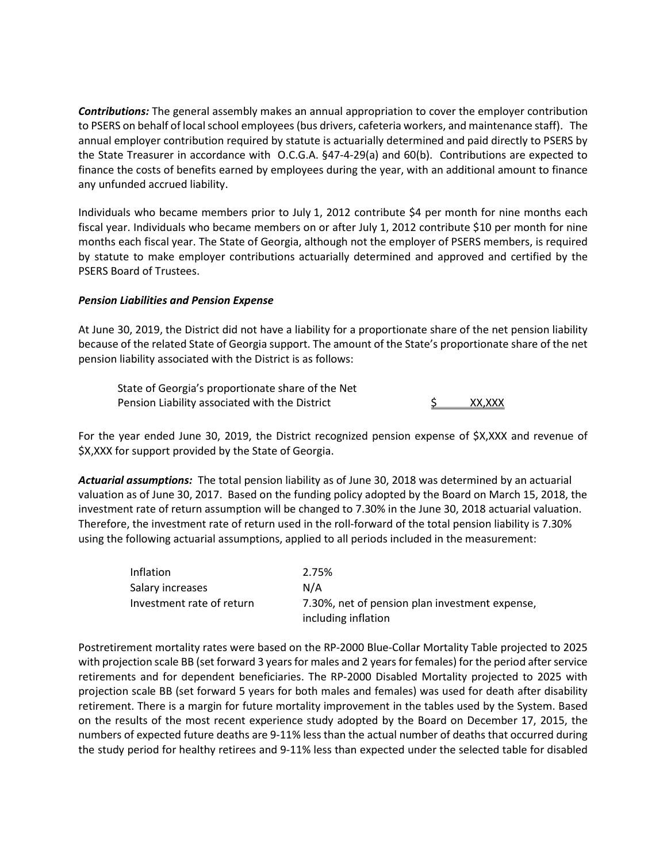**Contributions:** The general assembly makes an annual appropriation to cover the employer contribution to PSERS on behalf of local school employees (bus drivers, cafeteria workers, and maintenance staff). The annual employer contribution required by statute is actuarially determined and paid directly to PSERS by the State Treasurer in accordance with O.C.G.A. §47-4-29(a) and 60(b). Contributions are expected to finance the costs of benefits earned by employees during the year, with an additional amount to finance any unfunded accrued liability.

Individuals who became members prior to July 1, 2012 contribute \$4 per month for nine months each fiscal year. Individuals who became members on or after July 1, 2012 contribute \$10 per month for nine months each fiscal year. The State of Georgia, although not the employer of PSERS members, is required by statute to make employer contributions actuarially determined and approved and certified by the PSERS Board of Trustees.

## Pension Liabilities and Pension Expense

At June 30, 2019, the District did not have a liability for a proportionate share of the net pension liability because of the related State of Georgia support. The amount of the State's proportionate share of the net pension liability associated with the District is as follows:

 State of Georgia's proportionate share of the Net Pension Liability associated with the District  $\zeta$  XX,XXX

For the year ended June 30, 2019, the District recognized pension expense of \$X,XXX and revenue of \$X,XXX for support provided by the State of Georgia.

Actuarial assumptions: The total pension liability as of June 30, 2018 was determined by an actuarial valuation as of June 30, 2017. Based on the funding policy adopted by the Board on March 15, 2018, the investment rate of return assumption will be changed to 7.30% in the June 30, 2018 actuarial valuation. Therefore, the investment rate of return used in the roll-forward of the total pension liability is 7.30% using the following actuarial assumptions, applied to all periods included in the measurement:

| <b>Inflation</b>          | 2.75%                                          |
|---------------------------|------------------------------------------------|
| Salary increases          | N/A                                            |
| Investment rate of return | 7.30%, net of pension plan investment expense, |
|                           | including inflation                            |

Postretirement mortality rates were based on the RP-2000 Blue-Collar Mortality Table projected to 2025 with projection scale BB (set forward 3 years for males and 2 years for females) for the period after service retirements and for dependent beneficiaries. The RP-2000 Disabled Mortality projected to 2025 with projection scale BB (set forward 5 years for both males and females) was used for death after disability retirement. There is a margin for future mortality improvement in the tables used by the System. Based on the results of the most recent experience study adopted by the Board on December 17, 2015, the numbers of expected future deaths are 9-11% less than the actual number of deaths that occurred during the study period for healthy retirees and 9-11% less than expected under the selected table for disabled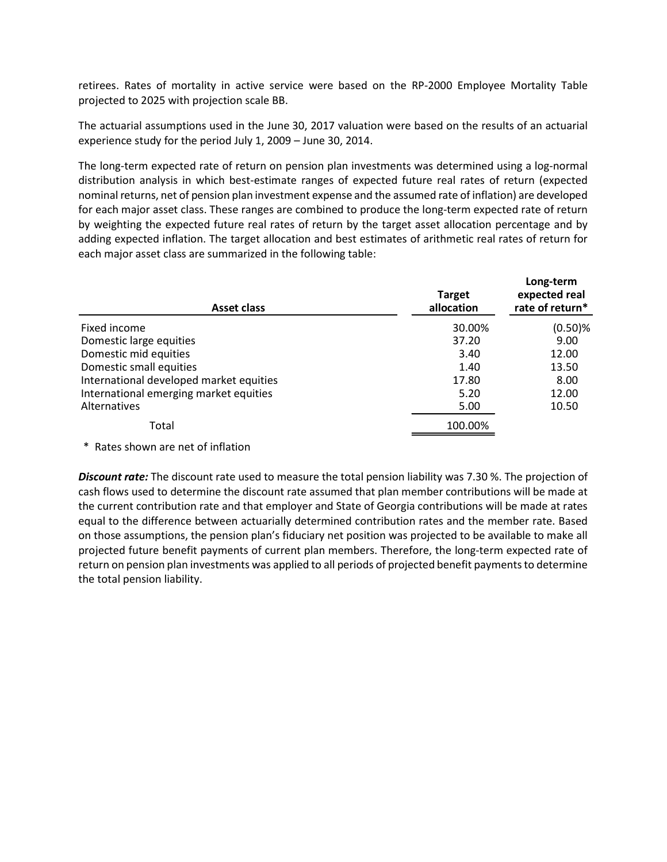| The actuarial assumptions used in the June 30, 2017 valuation were based on the results of an actuarial<br>experience study for the period July 1, 2009 - June 30, 2014.                                                                                                                                                                                                                                                                                                                                                                                                                                                                                                                                                    |                             |                                               |
|-----------------------------------------------------------------------------------------------------------------------------------------------------------------------------------------------------------------------------------------------------------------------------------------------------------------------------------------------------------------------------------------------------------------------------------------------------------------------------------------------------------------------------------------------------------------------------------------------------------------------------------------------------------------------------------------------------------------------------|-----------------------------|-----------------------------------------------|
| The long-term expected rate of return on pension plan investments was determined using a log-normal<br>distribution analysis in which best-estimate ranges of expected future real rates of return (expected<br>nominal returns, net of pension plan investment expense and the assumed rate of inflation) are developed<br>for each major asset class. These ranges are combined to produce the long-term expected rate of return<br>by weighting the expected future real rates of return by the target asset allocation percentage and by<br>adding expected inflation. The target allocation and best estimates of arithmetic real rates of return for<br>each major asset class are summarized in the following table: |                             |                                               |
|                                                                                                                                                                                                                                                                                                                                                                                                                                                                                                                                                                                                                                                                                                                             |                             |                                               |
| <b>Asset class</b>                                                                                                                                                                                                                                                                                                                                                                                                                                                                                                                                                                                                                                                                                                          | <b>Target</b><br>allocation | Long-term<br>expected real<br>rate of return* |
| Fixed income                                                                                                                                                                                                                                                                                                                                                                                                                                                                                                                                                                                                                                                                                                                | 30.00%                      |                                               |
| Domestic large equities                                                                                                                                                                                                                                                                                                                                                                                                                                                                                                                                                                                                                                                                                                     | 37.20                       | $(0.50)$ %<br>9.00                            |
| Domestic mid equities                                                                                                                                                                                                                                                                                                                                                                                                                                                                                                                                                                                                                                                                                                       | 3.40                        | 12.00                                         |
| Domestic small equities                                                                                                                                                                                                                                                                                                                                                                                                                                                                                                                                                                                                                                                                                                     | 1.40                        | 13.50                                         |
| International developed market equities                                                                                                                                                                                                                                                                                                                                                                                                                                                                                                                                                                                                                                                                                     | 17.80                       | 8.00                                          |
| International emerging market equities                                                                                                                                                                                                                                                                                                                                                                                                                                                                                                                                                                                                                                                                                      | 5.20                        | 12.00                                         |
| Alternatives                                                                                                                                                                                                                                                                                                                                                                                                                                                                                                                                                                                                                                                                                                                | 5.00                        | 10.50                                         |
| Total                                                                                                                                                                                                                                                                                                                                                                                                                                                                                                                                                                                                                                                                                                                       | 100.00%                     |                                               |

**Discount rate:** The discount rate used to measure the total pension liability was 7.30 %. The projection of cash flows used to determine the discount rate assumed that plan member contributions will be made at the current contribution rate and that employer and State of Georgia contributions will be made at rates equal to the difference between actuarially determined contribution rates and the member rate. Based on those assumptions, the pension plan's fiduciary net position was projected to be available to make all projected future benefit payments of current plan members. Therefore, the long-term expected rate of return on pension plan investments was applied to all periods of projected benefit payments to determine the total pension liability.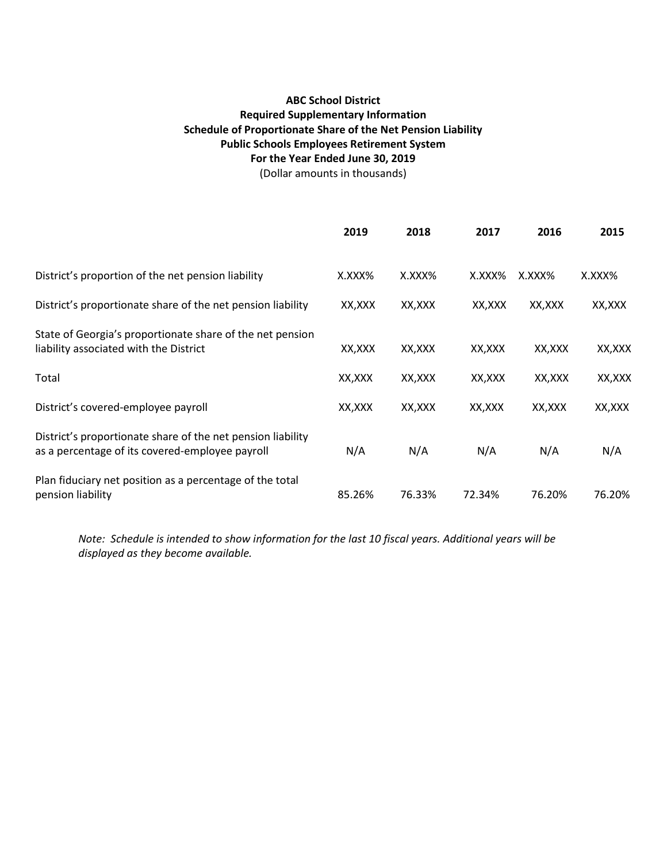# ABC School District Required Supplementary Information Schedule of Proportionate Share of the Net Pension Liability Public Schools Employees Retirement System For the Year Ended June 30, 2019 (Dollar amounts in thousands)

|                                                                                                                | 2019    | 2018    | 2017    | 2016    | 2015    |
|----------------------------------------------------------------------------------------------------------------|---------|---------|---------|---------|---------|
| District's proportion of the net pension liability                                                             | X.XXX%  | X.XXX%  | X.XXX%  | X.XXX%  | X.XXX%  |
| District's proportionate share of the net pension liability                                                    | XX,XXX  | XX,XXX  | XX,XXX  | XX,XXX  | XX,XXX  |
| State of Georgia's proportionate share of the net pension<br>liability associated with the District            | XX, XXX | XX, XXX | XX, XXX | XX,XXX  | XX, XXX |
| Total                                                                                                          | XX, XXX | XX, XXX | XX, XXX | XX, XXX | XX, XXX |
| District's covered-employee payroll                                                                            | XX,XXX  | XX,XXX  | XX,XXX  | XX,XXX  | XX, XXX |
| District's proportionate share of the net pension liability<br>as a percentage of its covered-employee payroll | N/A     | N/A     | N/A     | N/A     | N/A     |
| Plan fiduciary net position as a percentage of the total<br>pension liability                                  | 85.26%  | 76.33%  | 72.34%  | 76.20%  | 76.20%  |

Note: Schedule is intended to show information for the last 10 fiscal years. Additional years will be displayed as they become available.